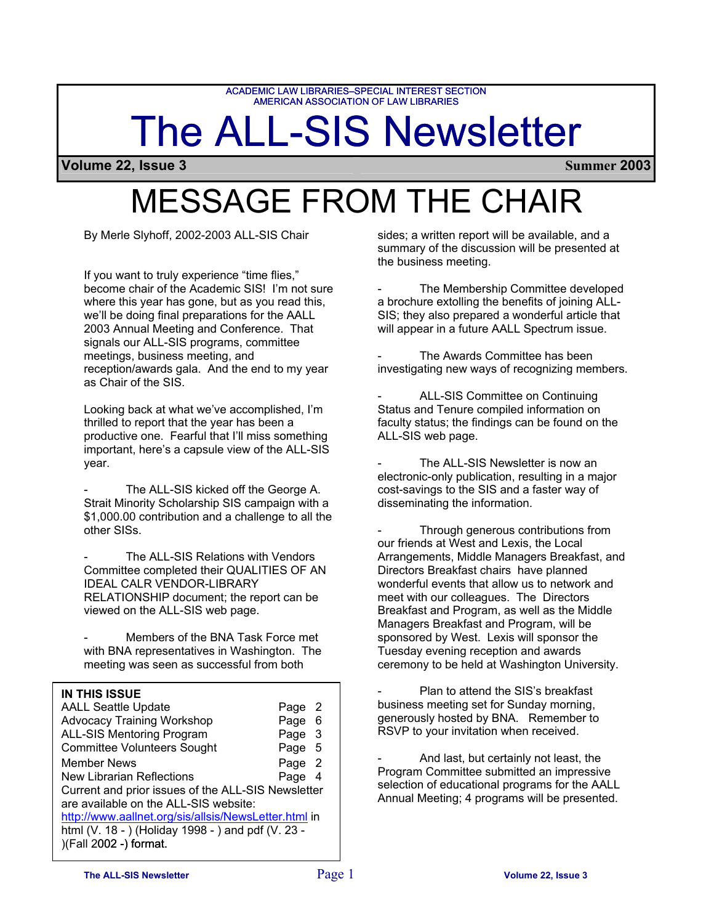ACADEMIC LAW LIBRARIES-SPECIAL INTEREST SECTION<br>AMERICAN ASSOCIATION OF LAW LIBRARIES

# The ALL-SIS Newsletter

**Volume 22, Issue 3 Summer 2003**

# MESSAGE FROM THE CHAIR

## **IN THIS ISSUE**

|                                                                                                                                                                                                                                                                                                                                                                                                                                                                    | AMERICAN ASSOCIATION OF LAW LIBRARIES                                                                |                                                                                                                                          |
|--------------------------------------------------------------------------------------------------------------------------------------------------------------------------------------------------------------------------------------------------------------------------------------------------------------------------------------------------------------------------------------------------------------------------------------------------------------------|------------------------------------------------------------------------------------------------------|------------------------------------------------------------------------------------------------------------------------------------------|
|                                                                                                                                                                                                                                                                                                                                                                                                                                                                    | <b>The ALL-SIS New</b>                                                                               |                                                                                                                                          |
| Volume 22, Issue 3                                                                                                                                                                                                                                                                                                                                                                                                                                                 |                                                                                                      |                                                                                                                                          |
|                                                                                                                                                                                                                                                                                                                                                                                                                                                                    | <b>MESSAGE FROM THE</b>                                                                              |                                                                                                                                          |
| By Merle Slyhoff, 2002-2003 ALL-SIS Chair                                                                                                                                                                                                                                                                                                                                                                                                                          |                                                                                                      | sides; a written<br>summary of the<br>the business me                                                                                    |
| If you want to truly experience "time flies,"<br>become chair of the Academic SIS! I'm not sure<br>where this year has gone, but as you read this,<br>we'll be doing final preparations for the AALL<br>2003 Annual Meeting and Conference. That<br>signals our ALL-SIS programs, committee                                                                                                                                                                        |                                                                                                      | The Me<br>a brochure exto<br>SIS; they also p<br>will appear in a                                                                        |
| meetings, business meeting, and<br>reception/awards gala. And the end to my year<br>as Chair of the SIS.                                                                                                                                                                                                                                                                                                                                                           |                                                                                                      | The Aw<br>investigating ne                                                                                                               |
| Looking back at what we've accomplished, I'm<br>thrilled to report that the year has been a<br>productive one. Fearful that I'll miss something<br>important, here's a capsule view of the ALL-SIS                                                                                                                                                                                                                                                                 |                                                                                                      | <b>ALL-SIS</b><br><b>Status and Tent</b><br>faculty status; th<br>ALL-SIS web pa                                                         |
| year.<br>The ALL-SIS kicked off the George A.<br>Strait Minority Scholarship SIS campaign with a<br>\$1,000.00 contribution and a challenge to all the<br>other SISs.                                                                                                                                                                                                                                                                                              |                                                                                                      | The ALI<br>electronic-only p<br>cost-savings to<br>disseminating th<br>Through                                                           |
| The ALL-SIS Relations with Vendors<br>Committee completed their QUALITIES OF AN<br><b>IDEAL CALR VENDOR-LIBRARY</b><br>RELATIONSHIP document; the report can be<br>viewed on the ALL-SIS web page.                                                                                                                                                                                                                                                                 |                                                                                                      | our friends at W<br>Arrangements,<br><b>Directors Break</b><br>wonderful event<br>meet with our co<br><b>Breakfast and F</b>             |
| Members of the BNA Task Force met<br>with BNA representatives in Washington. The<br>meeting was seen as successful from both                                                                                                                                                                                                                                                                                                                                       |                                                                                                      | Managers Breal<br>sponsored by W<br>Tuesday evenin<br>ceremony to be                                                                     |
| <b>IN THIS ISSUE</b><br><b>AALL Seattle Update</b><br><b>Advocacy Training Workshop</b><br><b>ALL-SIS Mentoring Program</b><br><b>Committee Volunteers Sought</b><br><b>Member News</b><br><b>New Librarian Reflections</b><br>Current and prior issues of the ALL-SIS Newsletter<br>are available on the ALL-SIS website:<br>http://www.aallnet.org/sis/allsis/NewsLetter.html in<br>html (V. 18 - ) (Holiday 1998 - ) and pdf (V. 23 -<br>)(Fall 2002 -) format. | Page<br>$\overline{2}$<br>6<br>Page<br>3<br>Page<br>5<br>Page<br>Page<br>$\overline{2}$<br>Page<br>4 | Plan to<br>business meetir<br>generously host<br>RSVP to your in<br>And las<br>Program Comm<br>selection of edu<br><b>Annual Meeting</b> |

sides; a written report will be available, and a summary of the discussion will be presented at the business meeting.

The Membership Committee developed a brochure extolling the benefits of joining ALL-SIS; they also prepared a wonderful article that will appear in a future AALL Spectrum issue.

The Awards Committee has been investigating new ways of recognizing members.

ALL-SIS Committee on Continuing Status and Tenure compiled information on faculty status; the findings can be found on the ALL-SIS web page.

The ALL-SIS Newsletter is now an electronic-only publication, resulting in a major cost-savings to the SIS and a faster way of disseminating the information.

Through generous contributions from our friends at West and Lexis, the Local Arrangements, Middle Managers Breakfast, and Directors Breakfast chairs have planned wonderful events that allow us to network and meet with our colleagues. The Directors Breakfast and Program, as well as the Middle Managers Breakfast and Program, will be sponsored by West. Lexis will sponsor the Tuesday evening reception and awards ceremony to be held at Washington University.

Plan to attend the SIS's breakfast business meeting set for Sunday morning, generously hosted by BNA. Remember to RSVP to your invitation when received.

And last, but certainly not least, the Program Committee submitted an impressive selection of educational programs for the AALL Annual Meeting; 4 programs will be presented.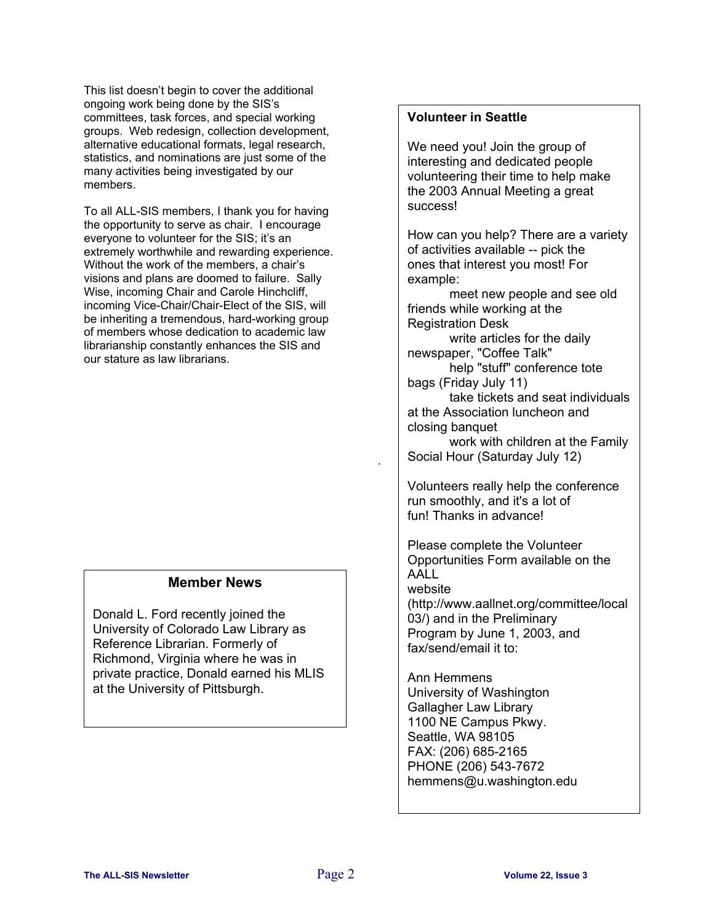This list doesn't begin to cover the additional ongoing work being done by the SIS's committees, task forces, and special working groups. Web redesign, collection development, alternative educational formats, legal research, statistics, and nominations are just some of the many activities being investigated by our members.

To all ALL-SIS members, I thank you for having the opportunity to serve as chair. I encourage everyone to volunteer for the SIS; it's an extremely worthwhile and rewarding experience. Without the work of the members, a chair's visions and plans are doomed to failure. Sally Wise, incoming Chair and Carole Hinchcliff, incoming Vice-Chair/Chair-Elect of the SIS, will be inheriting a tremendous, hard-working group of members whose dedication to academic law librarianship constantly enhances the SIS and our stature as law librarians.

# **Member News**

Donald L. Ford recently joined the University of Colorado Law Library as Reference Librarian. Formerly of Richmond, Virginia where he was in private practice, Donald earned his MLIS at the University of Pittsburgh.

# **Volunteer in Seattle**

We need you! Join the group of interesting and dedicated people volunteering their time to help make the 2003 Annual Meeting a great success!

How can you help? There are a variety of activities available -- pick the ones that interest you most! For example:

meet new people and see old friends while working at the Registration Desk

write articles for the daily newspaper, "Coffee Talk"

help "stuff" conference tote bags (Friday July 11)

take tickets and seat individuals at the Association luncheon and closing banquet

work with children at the Family Social Hour (Saturday July 12)

Volunteers really help the conference run smoothly, and it's a lot of fun! Thanks in advance!

Please complete the Volunteer Opportunities Form available on the AALL website (http://www.aallnet.org/committee/local 03/) and in the Preliminary

Program by June 1, 2003, and fax/send/email it to:

Ann Hemmens University of Washington Gallagher Law Library 1100 NE Campus Pkwy. Seattle, WA 98105 FAX: (206) 685-2165 PHONE (206) 543-7672 hemmens@u.washington.edu

.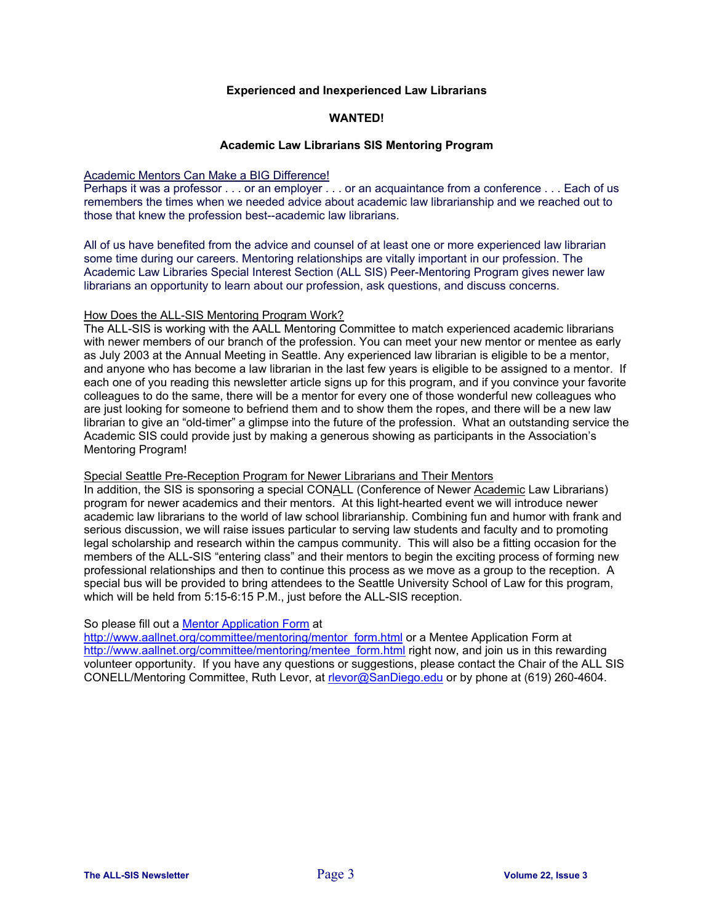#### **Experienced and Inexperienced Law Librarians**

#### **WANTED!**

#### **Academic Law Librarians SIS Mentoring Program**

#### Academic Mentors Can Make a BIG Difference!

Perhaps it was a professor . . . or an employer . . . or an acquaintance from a conference . . . Each of us remembers the times when we needed advice about academic law librarianship and we reached out to those that knew the profession best--academic law librarians.

All of us have benefited from the advice and counsel of at least one or more experienced law librarian some time during our careers. Mentoring relationships are vitally important in our profession. The Academic Law Libraries Special Interest Section (ALL SIS) Peer-Mentoring Program gives newer law librarians an opportunity to learn about our profession, ask questions, and discuss concerns.

#### How Does the ALL-SIS Mentoring Program Work?

The ALL-SIS is working with the AALL Mentoring Committee to match experienced academic librarians with newer members of our branch of the profession. You can meet your new mentor or mentee as early as July 2003 at the Annual Meeting in Seattle. Any experienced law librarian is eligible to be a mentor, and anyone who has become a law librarian in the last few years is eligible to be assigned to a mentor. If each one of you reading this newsletter article signs up for this program, and if you convince your favorite colleagues to do the same, there will be a mentor for every one of those wonderful new colleagues who are just looking for someone to befriend them and to show them the ropes, and there will be a new law librarian to give an "old-timer" a glimpse into the future of the profession. What an outstanding service the Academic SIS could provide just by making a generous showing as participants in the Association's Mentoring Program!

#### Special Seattle Pre-Reception Program for Newer Librarians and Their Mentors

In addition, the SIS is sponsoring a special CONALL (Conference of Newer Academic Law Librarians) program for newer academics and their mentors. At this light-hearted event we will introduce newer academic law librarians to the world of law school librarianship. Combining fun and humor with frank and serious discussion, we will raise issues particular to serving law students and faculty and to promoting legal scholarship and research within the campus community. This will also be a fitting occasion for the members of the ALL-SIS "entering class" and their mentors to begin the exciting process of forming new professional relationships and then to continue this process as we move as a group to the reception. A special bus will be provided to bring attendees to the Seattle University School of Law for this program, which will be held from 5:15-6:15 P.M., just before the ALL-SIS reception.

#### So please fill out a [Mentor Application Form](http://www.aallnet.org/committee/mentoring/mentor_form.html) at

[http://www.aallnet.org/committee/mentoring/mentor\\_form.html](http://www.aallnet.org/committee/mentoring/mentor_form.html) or a Mentee Application Form at [http://www.aallnet.org/committee/mentoring/mentee\\_form.html](http://www.aallnet.org/committee/mentoring/mentee_form.html) right now, and join us in this rewarding volunteer opportunity. If you have any questions or suggestions, please contact the Chair of the ALL SIS CONELL/Mentoring Committee, Ruth Levor, at [rlevor@SanDiego.edu](mailto:rlevor@SanDiego.edu) or by phone at (619) 260-4604.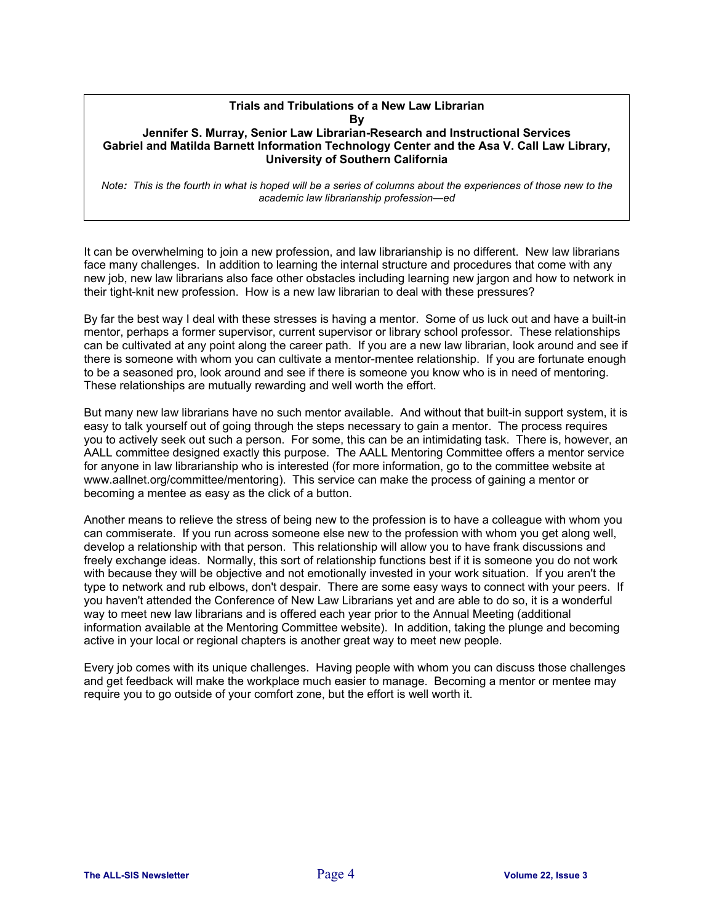#### **Trials and Tribulations of a New Law Librarian By**

### **Jennifer S. Murray, Senior Law Librarian-Research and Instructional Services Gabriel and Matilda Barnett Information Technology Center and the Asa V. Call Law Library, University of Southern California**

*Note: This is the fourth in what is hoped will be a series of columns about the experiences of those new to the academic law librarianship profession—ed*

It can be overwhelming to join a new profession, and law librarianship is no different. New law librarians face many challenges. In addition to learning the internal structure and procedures that come with any new job, new law librarians also face other obstacles including learning new jargon and how to network in their tight-knit new profession. How is a new law librarian to deal with these pressures?

By far the best way I deal with these stresses is having a mentor. Some of us luck out and have a built-in mentor, perhaps a former supervisor, current supervisor or library school professor. These relationships can be cultivated at any point along the career path. If you are a new law librarian, look around and see if there is someone with whom you can cultivate a mentor-mentee relationship. If you are fortunate enough to be a seasoned pro, look around and see if there is someone you know who is in need of mentoring. These relationships are mutually rewarding and well worth the effort.

But many new law librarians have no such mentor available. And without that built-in support system, it is easy to talk yourself out of going through the steps necessary to gain a mentor. The process requires you to actively seek out such a person. For some, this can be an intimidating task. There is, however, an AALL committee designed exactly this purpose. The AALL Mentoring Committee offers a mentor service for anyone in law librarianship who is interested (for more information, go to the committee website at www.aallnet.org/committee/mentoring). This service can make the process of gaining a mentor or becoming a mentee as easy as the click of a button.

Another means to relieve the stress of being new to the profession is to have a colleague with whom you can commiserate. If you run across someone else new to the profession with whom you get along well, develop a relationship with that person. This relationship will allow you to have frank discussions and freely exchange ideas. Normally, this sort of relationship functions best if it is someone you do not work with because they will be objective and not emotionally invested in your work situation. If you aren't the type to network and rub elbows, don't despair. There are some easy ways to connect with your peers. If you haven't attended the Conference of New Law Librarians yet and are able to do so, it is a wonderful way to meet new law librarians and is offered each year prior to the Annual Meeting (additional information available at the Mentoring Committee website). In addition, taking the plunge and becoming active in your local or regional chapters is another great way to meet new people.

Every job comes with its unique challenges. Having people with whom you can discuss those challenges and get feedback will make the workplace much easier to manage. Becoming a mentor or mentee may require you to go outside of your comfort zone, but the effort is well worth it.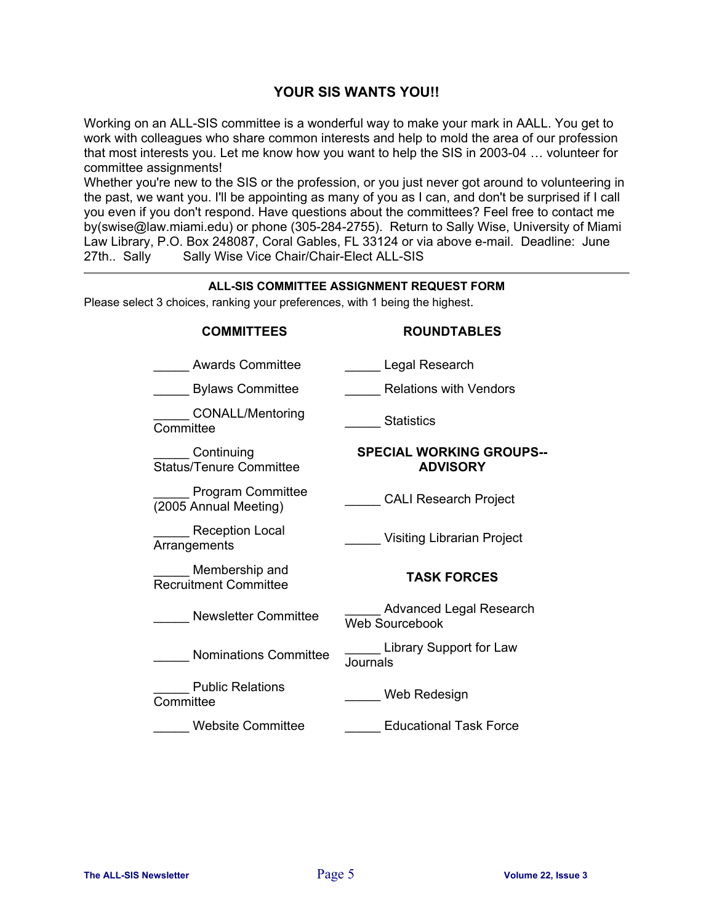# **YOUR SIS WANTS YOU!!**

Working on an ALL-SIS committee is a wonderful way to make your mark in AALL. You get to work with colleagues who share common interests and help to mold the area of our profession that most interests you. Let me know how you want to help the SIS in 2003-04 … volunteer for committee assignments!

Whether you're new to the SIS or the profession, or you just never got around to volunteering in the past, we want you. I'll be appointing as many of you as I can, and don't be surprised if I call you even if you don't respond. Have questions about the committees? Feel free to contact me by(swise@law.miami.edu) or phone (305-284-2755). Return to Sally Wise, University of Miami Law Library, P.O. Box 248087, Coral Gables, FL 33124 or via above e-mail. Deadline: June 27th.. Sally Sally Wise Vice Chair/Chair-Elect ALL-SIS Sally Wise Vice Chair/Chair-Elect ALL-SIS

| ALL-SIS COMMITTEE ASSIGNMENT REQUEST FORM<br>Please select 3 choices, ranking your preferences, with 1 being the highest. |                                                         |  |  |
|---------------------------------------------------------------------------------------------------------------------------|---------------------------------------------------------|--|--|
| <b>COMMITTEES</b>                                                                                                         | <b>ROUNDTABLES</b>                                      |  |  |
| Awards Committee                                                                                                          | Legal Research                                          |  |  |
| <b>Bylaws Committee</b>                                                                                                   | <b>Relations with Vendors</b>                           |  |  |
| CONALL/Mentoring<br>Committee                                                                                             | Statistics                                              |  |  |
| Continuing<br><b>Status/Tenure Committee</b>                                                                              | <b>SPECIAL WORKING GROUPS--</b><br><b>ADVISORY</b>      |  |  |
| <b>Program Committee</b><br>(2005 Annual Meeting)                                                                         | <b>CALI Research Project</b>                            |  |  |
| Reception Local<br>Arrangements                                                                                           | <b>Visiting Librarian Project</b>                       |  |  |
| Membership and<br><b>Recruitment Committee</b>                                                                            | <b>TASK FORCES</b>                                      |  |  |
| Newsletter Committee                                                                                                      | <b>Advanced Legal Research</b><br><b>Web Sourcebook</b> |  |  |
| <b>Nominations Committee</b>                                                                                              | Library Support for Law<br>Journals                     |  |  |
| <b>Public Relations</b><br>Committee                                                                                      | Web Redesign                                            |  |  |
| <b>Website Committee</b>                                                                                                  | <b>Educational Task Force</b>                           |  |  |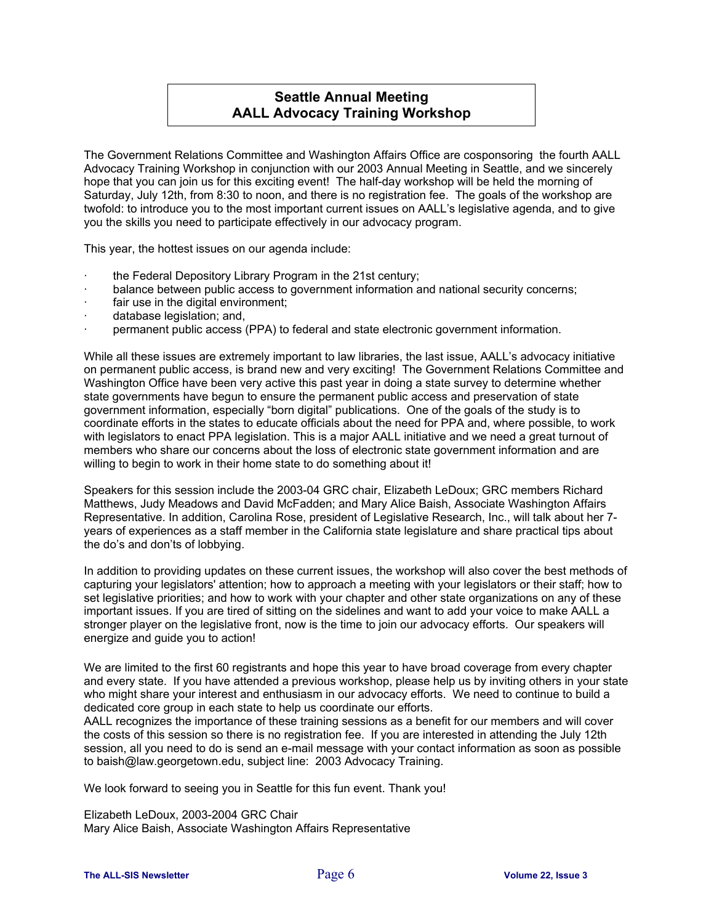# **Seattle Annual Meeting AALL Advocacy Training Workshop**

The Government Relations Committee and Washington Affairs Office are cosponsoring the fourth AALL Advocacy Training Workshop in conjunction with our 2003 Annual Meeting in Seattle, and we sincerely hope that you can join us for this exciting event! The half-day workshop will be held the morning of Saturday, July 12th, from 8:30 to noon, and there is no registration fee. The goals of the workshop are twofold: to introduce you to the most important current issues on AALL's legislative agenda, and to give you the skills you need to participate effectively in our advocacy program.

This year, the hottest issues on our agenda include:

- the Federal Depository Library Program in the 21st century;
- balance between public access to government information and national security concerns;
- fair use in the digital environment;
- database legislation; and,
- permanent public access (PPA) to federal and state electronic government information.

While all these issues are extremely important to law libraries, the last issue, AALL's advocacy initiative on permanent public access, is brand new and very exciting! The Government Relations Committee and Washington Office have been very active this past year in doing a state survey to determine whether state governments have begun to ensure the permanent public access and preservation of state government information, especially "born digital" publications. One of the goals of the study is to coordinate efforts in the states to educate officials about the need for PPA and, where possible, to work with legislators to enact PPA legislation. This is a major AALL initiative and we need a great turnout of members who share our concerns about the loss of electronic state government information and are willing to begin to work in their home state to do something about it!

Speakers for this session include the 2003-04 GRC chair, Elizabeth LeDoux; GRC members Richard Matthews, Judy Meadows and David McFadden; and Mary Alice Baish, Associate Washington Affairs Representative. In addition, Carolina Rose, president of Legislative Research, Inc., will talk about her 7 years of experiences as a staff member in the California state legislature and share practical tips about the do's and don'ts of lobbying.

In addition to providing updates on these current issues, the workshop will also cover the best methods of capturing your legislators' attention; how to approach a meeting with your legislators or their staff; how to set legislative priorities; and how to work with your chapter and other state organizations on any of these important issues. If you are tired of sitting on the sidelines and want to add your voice to make AALL a stronger player on the legislative front, now is the time to join our advocacy efforts. Our speakers will energize and guide you to action!

We are limited to the first 60 registrants and hope this year to have broad coverage from every chapter and every state. If you have attended a previous workshop, please help us by inviting others in your state who might share your interest and enthusiasm in our advocacy efforts. We need to continue to build a dedicated core group in each state to help us coordinate our efforts.

AALL recognizes the importance of these training sessions as a benefit for our members and will cover the costs of this session so there is no registration fee. If you are interested in attending the July 12th session, all you need to do is send an e-mail message with your contact information as soon as possible to baish@law.georgetown.edu, subject line: 2003 Advocacy Training.

We look forward to seeing you in Seattle for this fun event. Thank you!

Elizabeth LeDoux, 2003-2004 GRC Chair Mary Alice Baish, Associate Washington Affairs Representative